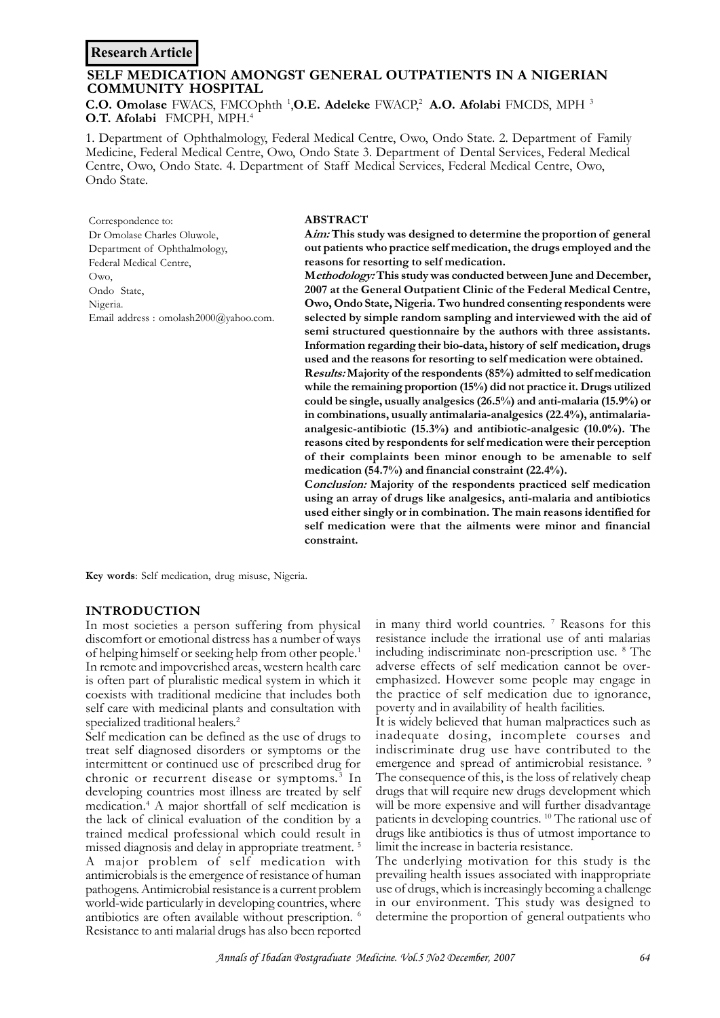# **Research Article**

# **SELF MEDICATION AMONGST GENERAL OUTPATIENTS IN A NIGERIAN COMMUNITY HOSPITAL**

**C.O. Omolase** FWACS, FMCOphth <sup>1</sup> ,**O.E. Adeleke** FWACP,<sup>2</sup> **A.O. Afolabi** FMCDS, MPH <sup>3</sup> **O.T. Afolabi** FMCPH, MPH.<sup>4</sup>

1. Department of Ophthalmology, Federal Medical Centre, Owo, Ondo State. 2. Department of Family Medicine, Federal Medical Centre, Owo, Ondo State 3. Department of Dental Services, Federal Medical Centre, Owo, Ondo State. 4. Department of Staff Medical Services, Federal Medical Centre, Owo, Ondo State.

Correspondence to: Dr Omolase Charles Oluwole, Department of Ophthalmology, Federal Medical Centre, Owo, Ondo State, Nigeria. Email address : omolash2000@yahoo.com.

#### **ABSTRACT**

**A***im:* **This study was designed to determine the proportion of general out patients who practice self medication, the drugs employed and the reasons for resorting to self medication.**

**M***ethodology:* **This study was conducted between June and December, 2007 at the General Outpatient Clinic of the Federal Medical Centre, Owo, Ondo State, Nigeria. Two hundred consenting respondents were selected by simple random sampling and interviewed with the aid of semi structured questionnaire by the authors with three assistants. Information regarding their bio-data, history of self medication, drugs used and the reasons for resorting to self medication were obtained.**

**R***esults:* **Majority of the respondents (85%) admitted to self medication while the remaining proportion (15%) did not practice it. Drugs utilized could be single, usually analgesics (26.5%) and anti-malaria (15.9%) or in combinations, usually antimalaria-analgesics (22.4%), antimalariaanalgesic-antibiotic (15.3%) and antibiotic-analgesic (10.0%). The reasons cited by respondents for self medication were their perception of their complaints been minor enough to be amenable to self medication (54.7%) and financial constraint (22.4%).**

**C***onclusion:* **Majority of the respondents practiced self medication using an array of drugs like analgesics, anti-malaria and antibiotics used either singly or in combination. The main reasons identified for self medication were that the ailments were minor and financial constraint.**

**Key words**: Self medication, drug misuse, Nigeria.

#### **INTRODUCTION**

In most societies a person suffering from physical discomfort or emotional distress has a number of ways of helping himself or seeking help from other people.<sup>1</sup> In remote and impoverished areas, western health care is often part of pluralistic medical system in which it coexists with traditional medicine that includes both self care with medicinal plants and consultation with specialized traditional healers.<sup>2</sup>

Self medication can be defined as the use of drugs to treat self diagnosed disorders or symptoms or the intermittent or continued use of prescribed drug for chronic or recurrent disease or symptoms.<sup>3</sup> In developing countries most illness are treated by self medication.<sup>4</sup> A major shortfall of self medication is the lack of clinical evaluation of the condition by a trained medical professional which could result in missed diagnosis and delay in appropriate treatment. <sup>5</sup> A major problem of self medication with antimicrobials is the emergence of resistance of human pathogens. Antimicrobial resistance is a current problem world-wide particularly in developing countries, where antibiotics are often available without prescription. <sup>6</sup> Resistance to anti malarial drugs has also been reported

in many third world countries. <sup>7</sup> Reasons for this resistance include the irrational use of anti malarias including indiscriminate non-prescription use. <sup>8</sup> The adverse effects of self medication cannot be overemphasized. However some people may engage in the practice of self medication due to ignorance, poverty and in availability of health facilities.

It is widely believed that human malpractices such as inadequate dosing, incomplete courses and indiscriminate drug use have contributed to the emergence and spread of antimicrobial resistance.<sup>9</sup> The consequence of this, is the loss of relatively cheap drugs that will require new drugs development which will be more expensive and will further disadvantage patients in developing countries. <sup>10</sup> The rational use of drugs like antibiotics is thus of utmost importance to limit the increase in bacteria resistance.

The underlying motivation for this study is the prevailing health issues associated with inappropriate use of drugs, which is increasingly becoming a challenge in our environment. This study was designed to determine the proportion of general outpatients who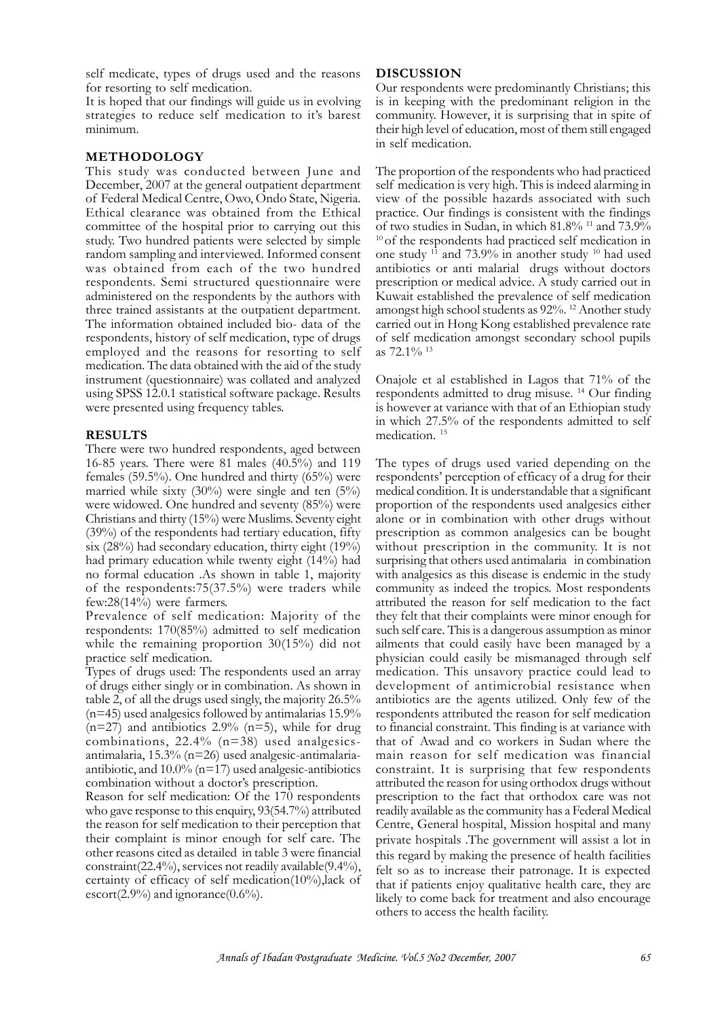self medicate, types of drugs used and the reasons for resorting to self medication.

It is hoped that our findings will guide us in evolving strategies to reduce self medication to it's barest minimum.

# **METHODOLOGY**

This study was conducted between June and December, 2007 at the general outpatient department of Federal Medical Centre, Owo, Ondo State, Nigeria. Ethical clearance was obtained from the Ethical committee of the hospital prior to carrying out this study. Two hundred patients were selected by simple random sampling and interviewed. Informed consent was obtained from each of the two hundred respondents. Semi structured questionnaire were administered on the respondents by the authors with three trained assistants at the outpatient department. The information obtained included bio- data of the respondents, history of self medication, type of drugs employed and the reasons for resorting to self medication. The data obtained with the aid of the study instrument (questionnaire) was collated and analyzed using SPSS 12.0.1 statistical software package. Results were presented using frequency tables.

# **RESULTS**

There were two hundred respondents, aged between 16-85 years. There were 81 males (40.5%) and 119 females (59.5%). One hundred and thirty (65%) were married while sixty  $(30\%)$  were single and ten  $(5\%)$ were widowed. One hundred and seventy (85%) were Christians and thirty (15%) were Muslims. Seventy eight (39%) of the respondents had tertiary education, fifty six  $(28\%)$  had secondary education, thirty eight  $(19\%)$ had primary education while twenty eight (14%) had no formal education .As shown in table 1, majority of the respondents:75(37.5%) were traders while few:28(14%) were farmers.

Prevalence of self medication: Majority of the respondents: 170(85%) admitted to self medication while the remaining proportion 30(15%) did not practice self medication.

Types of drugs used: The respondents used an array of drugs either singly or in combination. As shown in table 2, of all the drugs used singly, the majority 26.5%  $(n=45)$  used analgesics followed by antimalarias 15.9%  $(n=27)$  and antibiotics 2.9%  $(n=5)$ , while for drug combinations, 22.4% (n=38) used analgesicsantimalaria, 15.3% (n=26) used analgesic-antimalariaantibiotic, and 10.0% (n=17) used analgesic-antibiotics combination without a doctor's prescription.

Reason for self medication: Of the 170 respondents who gave response to this enquiry, 93(54.7%) attributed the reason for self medication to their perception that their complaint is minor enough for self care. The other reasons cited as detailed in table 3 were financial constraint(22.4%), services not readily available(9.4%), certainty of efficacy of self medication(10%),lack of escort $(2.9\%)$  and ignorance $(0.6\%)$ .

### **DISCUSSION**

Our respondents were predominantly Christians; this is in keeping with the predominant religion in the community. However, it is surprising that in spite of their high level of education, most of them still engaged in self medication.

The proportion of the respondents who had practiced self medication is very high. This is indeed alarming in view of the possible hazards associated with such practice. Our findings is consistent with the findings of two studies in Sudan, in which  $81.8\%$  <sup>11</sup> and  $73.9\%$ <sup>10</sup> of the respondents had practiced self medication in one study  $11$  and 73.9% in another study  $10$  had used antibiotics or anti malarial drugs without doctors prescription or medical advice. A study carried out in Kuwait established the prevalence of self medication amongst high school students as 92%. <sup>12</sup> Another study carried out in Hong Kong established prevalence rate of self medication amongst secondary school pupils as 72.1% <sup>13</sup>

Onajole et al established in Lagos that 71% of the respondents admitted to drug misuse. <sup>14</sup> Our finding is however at variance with that of an Ethiopian study in which 27.5% of the respondents admitted to self medication. <sup>15</sup>

The types of drugs used varied depending on the respondents' perception of efficacy of a drug for their medical condition. It is understandable that a significant proportion of the respondents used analgesics either alone or in combination with other drugs without prescription as common analgesics can be bought without prescription in the community. It is not surprising that others used antimalaria in combination with analgesics as this disease is endemic in the study community as indeed the tropics. Most respondents attributed the reason for self medication to the fact they felt that their complaints were minor enough for such self care. This is a dangerous assumption as minor ailments that could easily have been managed by a physician could easily be mismanaged through self medication. This unsavory practice could lead to development of antimicrobial resistance when antibiotics are the agents utilized. Only few of the respondents attributed the reason for self medication to financial constraint. This finding is at variance with that of Awad and co workers in Sudan where the main reason for self medication was financial constraint. It is surprising that few respondents attributed the reason for using orthodox drugs without prescription to the fact that orthodox care was not readily available as the community has a Federal Medical Centre, General hospital, Mission hospital and many private hospitals .The government will assist a lot in this regard by making the presence of health facilities felt so as to increase their patronage. It is expected that if patients enjoy qualitative health care, they are likely to come back for treatment and also encourage others to access the health facility.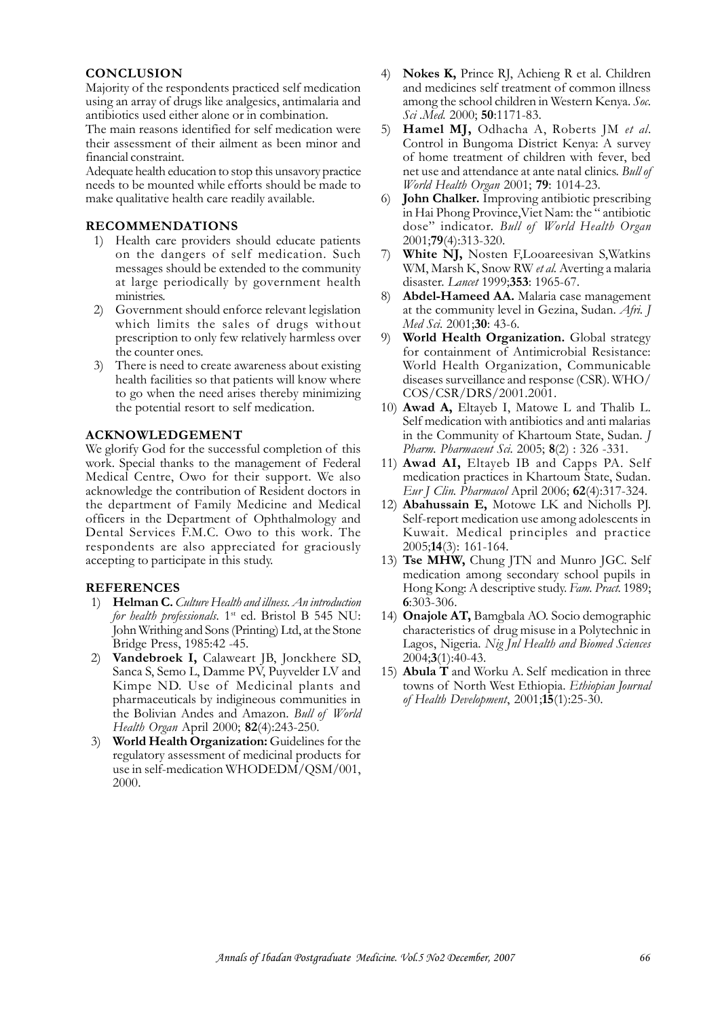# **CONCLUSION**

Majority of the respondents practiced self medication using an array of drugs like analgesics, antimalaria and antibiotics used either alone or in combination.

The main reasons identified for self medication were their assessment of their ailment as been minor and financial constraint.

Adequate health education to stop this unsavory practice needs to be mounted while efforts should be made to make qualitative health care readily available.

# **RECOMMENDATIONS**

- 1) Health care providers should educate patients on the dangers of self medication. Such messages should be extended to the community at large periodically by government health ministries.
- 2) Government should enforce relevant legislation which limits the sales of drugs without prescription to only few relatively harmless over the counter ones.
- 3) There is need to create awareness about existing health facilities so that patients will know where to go when the need arises thereby minimizing the potential resort to self medication.

### **ACKNOWLEDGEMENT**

We glorify God for the successful completion of this work. Special thanks to the management of Federal Medical Centre, Owo for their support. We also acknowledge the contribution of Resident doctors in the department of Family Medicine and Medical officers in the Department of Ophthalmology and Dental Services F.M.C. Owo to this work. The respondents are also appreciated for graciously accepting to participate in this study.

# **REFERENCES**

- 1) **Helman C.***Culture Health and illness. An introduction for health professionals.* 1<sup>st</sup> ed. Bristol B 545 NU: John Writhing and Sons (Printing) Ltd, at the Stone Bridge Press, 1985:42 -45.
- 2) **Vandebroek I,** Calaweart JB, Jonckhere SD, Sanca S, Semo L, Damme PV, Puyvelder LV and Kimpe ND. Use of Medicinal plants and pharmaceuticals by indigineous communities in the Bolivian Andes and Amazon. *Bull of World Health Organ* April 2000; **82**(4):243-250.
- 3) **World Health Organization:** Guidelines for the regulatory assessment of medicinal products for use in self-medication WHODEDM/QSM/001, 2000.
- 4) **Nokes K,** Prince RJ, Achieng R et al. Children and medicines self treatment of common illness among the school children in Western Kenya. *Soc. Sci .Med.* 2000; **50**:1171-83.
- 5) **Hamel MJ,** Odhacha A, Roberts JM *et al*. Control in Bungoma District Kenya: A survey of home treatment of children with fever, bed net use and attendance at ante natal clinics. *Bull of World Health Organ* 2001; **79**: 1014-23.
- 6) **John Chalker.** Improving antibiotic prescribing in Hai Phong Province,Viet Nam: the " antibiotic dose" indicator. *Bull of World Health Organ* 2001;**79**(4):313-320.
- White NJ, Nosten F,Looareesivan S,Watkins WM, Marsh K, Snow RW *et al.* Averting a malaria disaster. *Lancet* 1999;**353**: 1965-67.
- 8) **Abdel-Hameed AA.** Malaria case management at the community level in Gezina, Sudan. *Afri. J Med Sci.* 2001;**30**: 43-6.
- 9) **World Health Organization.** Global strategy for containment of Antimicrobial Resistance: World Health Organization, Communicable diseases surveillance and response (CSR). WHO/ COS/CSR/DRS/2001.2001.
- 10) **Awad A,** Eltayeb I, Matowe L and Thalib L. Self medication with antibiotics and anti malarias in the Community of Khartoum State, Sudan. *J Pharm. Pharmaceut Sci.* 2005; **8**(2) : 326 -331.
- 11) **Awad AI,** Eltayeb IB and Capps PA. Self medication practices in Khartoum State, Sudan. *Eur J Clin. Pharmacol* April 2006; **62**(4):317-324.
- 12) **Abahussain E,** Motowe LK and Nicholls PJ. Self-report medication use among adolescents in Kuwait. Medical principles and practice 2005;**14**(3): 161-164.
- 13) **Tse MHW,** Chung JTN and Munro JGC. Self medication among secondary school pupils in Hong Kong: A descriptive study. *Fam. Pract.* 1989; **6**:303-306.
- 14) **Onajole AT,** Bamgbala AO. Socio demographic characteristics of drug misuse in a Polytechnic in Lagos, Nigeria. *Nig Jnl Health and Biomed Sciences* 2004;**3**(1):40-43.
- 15) **Abula T** and Worku A. Self medication in three towns of North West Ethiopia. *Ethiopian Journal of Health Development*, 2001;**15**(1):25-30.